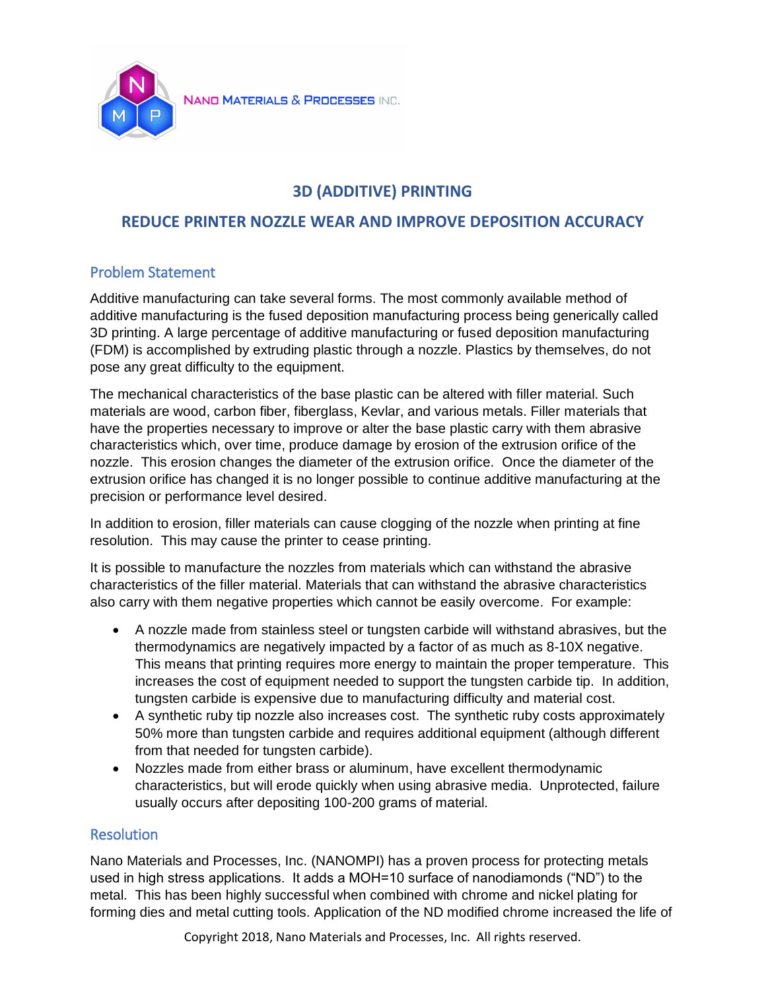

# **3D (ADDITIVE) PRINTING**

# **REDUCE PRINTER NOZZLE WEAR AND IMPROVE DEPOSITION ACCURACY**

## Problem Statement

Additive manufacturing can take several forms. The most commonly available method of additive manufacturing is the fused deposition manufacturing process being generically called 3D printing. A large percentage of additive manufacturing or fused deposition manufacturing (FDM) is accomplished by extruding plastic through a nozzle. Plastics by themselves, do not pose any great difficulty to the equipment.

The mechanical characteristics of the base plastic can be altered with filler material. Such materials are wood, carbon fiber, fiberglass, Kevlar, and various metals. Filler materials that have the properties necessary to improve or alter the base plastic carry with them abrasive characteristics which, over time, produce damage by erosion of the extrusion orifice of the nozzle. This erosion changes the diameter of the extrusion orifice. Once the diameter of the extrusion orifice has changed it is no longer possible to continue additive manufacturing at the precision or performance level desired.

In addition to erosion, filler materials can cause clogging of the nozzle when printing at fine resolution. This may cause the printer to cease printing.

It is possible to manufacture the nozzles from materials which can withstand the abrasive characteristics of the filler material. Materials that can withstand the abrasive characteristics also carry with them negative properties which cannot be easily overcome. For example:

- A nozzle made from stainless steel or tungsten carbide will withstand abrasives, but the thermodynamics are negatively impacted by a factor of as much as 8-10X negative. This means that printing requires more energy to maintain the proper temperature. This increases the cost of equipment needed to support the tungsten carbide tip. In addition, tungsten carbide is expensive due to manufacturing difficulty and material cost.
- A synthetic ruby tip nozzle also increases cost. The synthetic ruby costs approximately 50% more than tungsten carbide and requires additional equipment (although different from that needed for tungsten carbide).
- Nozzles made from either brass or aluminum, have excellent thermodynamic characteristics, but will erode quickly when using abrasive media. Unprotected, failure usually occurs after depositing 100-200 grams of material.

### **Resolution**

Nano Materials and Processes, Inc. (NANOMPI) has a proven process for protecting metals used in high stress applications. It adds a MOH=10 surface of nanodiamonds ("ND") to the metal. This has been highly successful when combined with chrome and nickel plating for forming dies and metal cutting tools. Application of the ND modified chrome increased the life of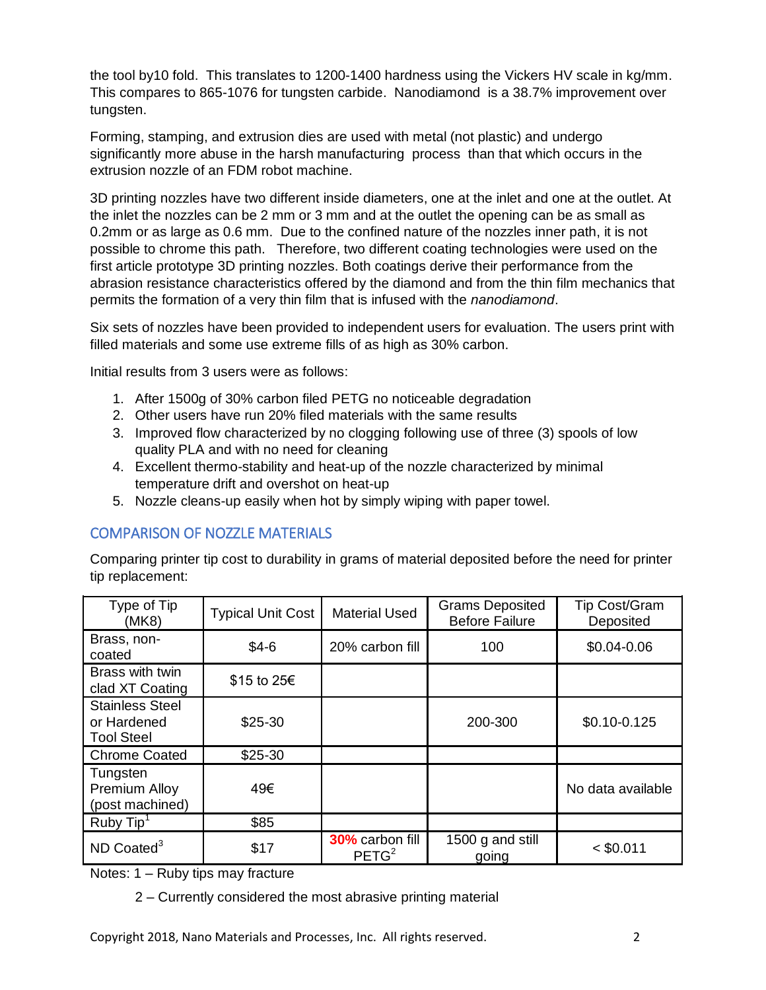the tool by10 fold. This translates to 1200-1400 hardness using the Vickers HV scale in kg/mm. This compares to 865-1076 for tungsten carbide. Nanodiamond is a 38.7% improvement over tungsten.

Forming, stamping, and extrusion dies are used with metal (not plastic) and undergo significantly more abuse in the harsh manufacturing process than that which occurs in the extrusion nozzle of an FDM robot machine.

3D printing nozzles have two different inside diameters, one at the inlet and one at the outlet. At the inlet the nozzles can be 2 mm or 3 mm and at the outlet the opening can be as small as 0.2mm or as large as 0.6 mm. Due to the confined nature of the nozzles inner path, it is not possible to chrome this path. Therefore, two different coating technologies were used on the first article prototype 3D printing nozzles. Both coatings derive their performance from the abrasion resistance characteristics offered by the diamond and from the thin film mechanics that permits the formation of a very thin film that is infused with the *nanodiamond*.

Six sets of nozzles have been provided to independent users for evaluation. The users print with filled materials and some use extreme fills of as high as 30% carbon.

Initial results from 3 users were as follows:

- 1. After 1500g of 30% carbon filed PETG no noticeable degradation
- 2. Other users have run 20% filed materials with the same results
- 3. Improved flow characterized by no clogging following use of three (3) spools of low quality PLA and with no need for cleaning
- 4. Excellent thermo-stability and heat-up of the nozzle characterized by minimal temperature drift and overshot on heat-up
- 5. Nozzle cleans-up easily when hot by simply wiping with paper towel.

### COMPARISON OF NOZZLE MATERIALS

Comparing printer tip cost to durability in grams of material deposited before the need for printer tip replacement:

| Type of Tip<br>(MK8)                                       | <b>Typical Unit Cost</b> | <b>Material Used</b>                        | <b>Grams Deposited</b><br><b>Before Failure</b> | <b>Tip Cost/Gram</b><br>Deposited |
|------------------------------------------------------------|--------------------------|---------------------------------------------|-------------------------------------------------|-----------------------------------|
| Brass, non-<br>coated                                      | $$4-6$                   | 20% carbon fill                             | 100                                             | \$0.04-0.06                       |
| Brass with twin<br>clad XT Coating                         | \$15 to 25€              |                                             |                                                 |                                   |
| <b>Stainless Steel</b><br>or Hardened<br><b>Tool Steel</b> | \$25-30                  |                                             | 200-300                                         | \$0.10-0.125                      |
| <b>Chrome Coated</b>                                       | \$25-30                  |                                             |                                                 |                                   |
| Tungsten<br>Premium Alloy<br>(post machined)               | 49€                      |                                             |                                                 | No data available                 |
| Ruby Tip <sup>1</sup>                                      | \$85                     |                                             |                                                 |                                   |
| $ND$ Coated <sup>3</sup>                                   | \$17                     | <b>30%</b> carbon fill<br>PETG <sup>2</sup> | 1500 g and still<br>going                       | $<$ \$0.011                       |

Notes: 1 – Ruby tips may fracture

2 – Currently considered the most abrasive printing material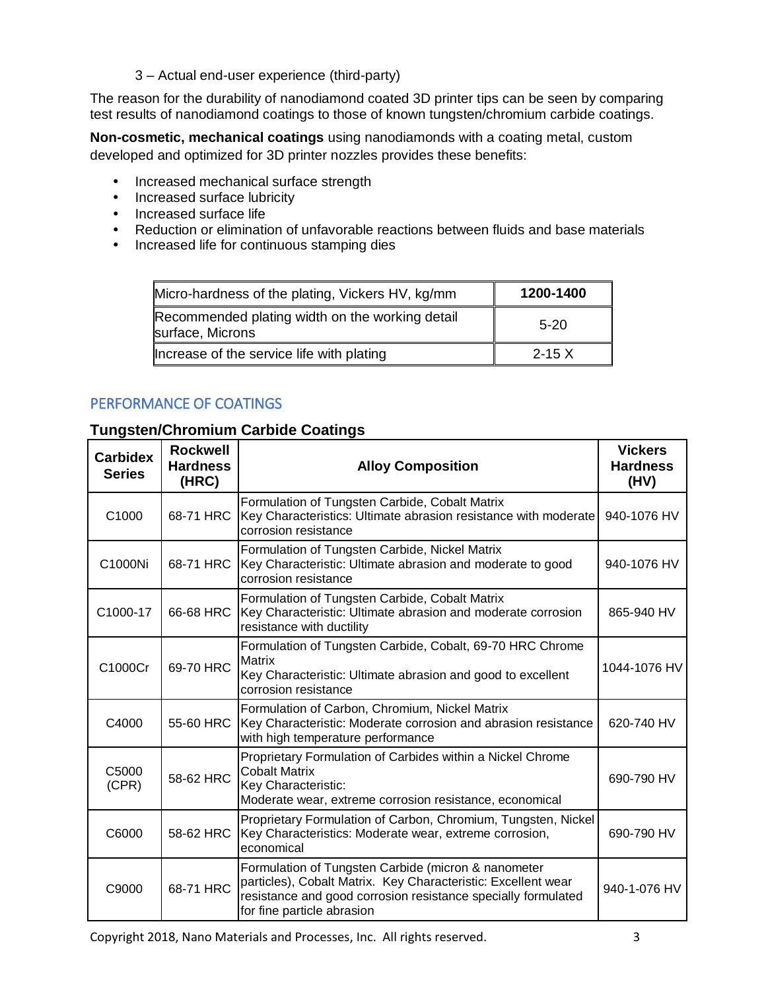3 – Actual end-user experience (third-party)

The reason for the durability of nanodiamond coated 3D printer tips can be seen by comparing test results of nanodiamond coatings to those of known tungsten/chromium carbide coatings.

**Non-cosmetic, mechanical coatings** using nanodiamonds with a coating metal, custom developed and optimized for 3D printer nozzles provides these benefits:

- Increased mechanical surface strength
- Increased surface lubricity
- Increased surface life
- Reduction or elimination of unfavorable reactions between fluids and base materials
- Increased life for continuous stamping dies

| Micro-hardness of the plating, Vickers HV, kg/mm                    | 1200-1400 |  |
|---------------------------------------------------------------------|-----------|--|
| Recommended plating width on the working detail<br>surface, Microns | $5-20$    |  |
| Increase of the service life with plating                           | $2 - 15X$ |  |

### PERFORMANCE OF COATINGS

### **Tungsten/Chromium Carbide Coatings**

| <b>Carbidex</b><br><b>Series</b> | <b>Rockwell</b><br><b>Hardness</b><br>(HRC) | <b>Alloy Composition</b>                                                                                                                                                                                            | <b>Vickers</b><br><b>Hardness</b><br>(HV) |
|----------------------------------|---------------------------------------------|---------------------------------------------------------------------------------------------------------------------------------------------------------------------------------------------------------------------|-------------------------------------------|
| C1000                            | 68-71 HRC                                   | Formulation of Tungsten Carbide, Cobalt Matrix<br>Key Characteristics: Ultimate abrasion resistance with moderate<br>corrosion resistance                                                                           | 940-1076 HV                               |
| C1000Ni                          | 68-71 HRC                                   | Formulation of Tungsten Carbide, Nickel Matrix<br>Key Characteristic: Ultimate abrasion and moderate to good<br>corrosion resistance                                                                                | 940-1076 HV                               |
| C1000-17                         | 66-68 HRC                                   | Formulation of Tungsten Carbide, Cobalt Matrix<br>Key Characteristic: Ultimate abrasion and moderate corrosion<br>resistance with ductility                                                                         | 865-940 HV                                |
| C1000Cr                          | 69-70 HRC                                   | Formulation of Tungsten Carbide, Cobalt, 69-70 HRC Chrome<br><b>Matrix</b><br>Key Characteristic: Ultimate abrasion and good to excellent<br>corrosion resistance                                                   | 1044-1076 HV                              |
| C4000                            | 55-60 HRC                                   | Formulation of Carbon, Chromium, Nickel Matrix<br>Key Characteristic: Moderate corrosion and abrasion resistance<br>with high temperature performance                                                               | 620-740 HV                                |
| C5000<br>(CPR)                   | 58-62 HRC                                   | Proprietary Formulation of Carbides within a Nickel Chrome<br><b>Cobalt Matrix</b><br>Key Characteristic:<br>Moderate wear, extreme corrosion resistance, economical                                                | 690-790 HV                                |
| C6000                            | 58-62 HRC                                   | Proprietary Formulation of Carbon, Chromium, Tungsten, Nickel<br>Key Characteristics: Moderate wear, extreme corrosion,<br>economical                                                                               | 690-790 HV                                |
| C9000                            | 68-71 HRC                                   | Formulation of Tungsten Carbide (micron & nanometer<br>particles), Cobalt Matrix. Key Characteristic: Excellent wear<br>resistance and good corrosion resistance specially formulated<br>for fine particle abrasion | 940-1-076 HV                              |